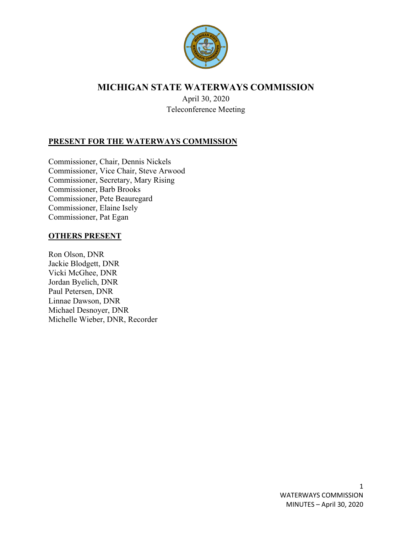

# **MICHIGAN STATE WATERWAYS COMMISSION**

April 30, 2020 Teleconference Meeting

## **PRESENT FOR THE WATERWAYS COMMISSION**

Commissioner, Chair, Dennis Nickels Commissioner, Vice Chair, Steve Arwood Commissioner, Secretary, Mary Rising Commissioner, Barb Brooks Commissioner, Pete Beauregard Commissioner, Elaine Isely Commissioner, Pat Egan

## **OTHERS PRESENT**

Ron Olson, DNR Jackie Blodgett, DNR Vicki McGhee, DNR Jordan Byelich, DNR Paul Petersen, DNR Linnae Dawson, DNR Michael Desnoyer, DNR Michelle Wieber, DNR, Recorder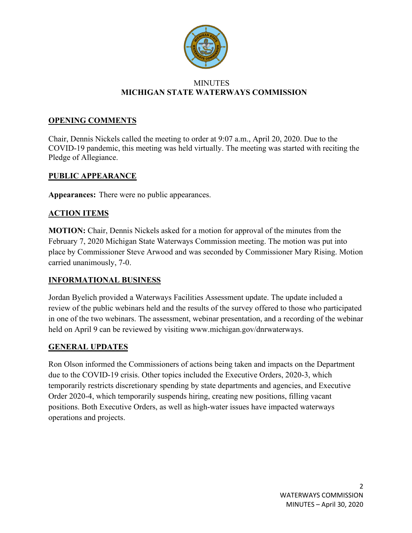

#### **MINUTES MICHIGAN STATE WATERWAYS COMMISSION**

### **OPENING COMMENTS**

Chair, Dennis Nickels called the meeting to order at 9:07 a.m., April 20, 2020. Due to the COVID-19 pandemic, this meeting was held virtually. The meeting was started with reciting the Pledge of Allegiance.

#### **PUBLIC APPEARANCE**

**Appearances:** There were no public appearances.

#### **ACTION ITEMS**

**MOTION:** Chair, Dennis Nickels asked for a motion for approval of the minutes from the February 7, 2020 Michigan State Waterways Commission meeting. The motion was put into place by Commissioner Steve Arwood and was seconded by Commissioner Mary Rising. Motion carried unanimously, 7-0.

## **INFORMATIONAL BUSINESS**

Jordan Byelich provided a Waterways Facilities Assessment update. The update included a review of the public webinars held and the results of the survey offered to those who participated in one of the two webinars. The assessment, webinar presentation, and a recording of the webinar held on April 9 can be reviewed by visiting www.michigan.gov/dnrwaterways.

#### **GENERAL UPDATES**

Ron Olson informed the Commissioners of actions being taken and impacts on the Department due to the COVID-19 crisis. Other topics included the Executive Orders, 2020-3, which temporarily restricts discretionary spending by state departments and agencies, and Executive Order 2020-4, which temporarily suspends hiring, creating new positions, filling vacant positions. Both Executive Orders, as well as high-water issues have impacted waterways operations and projects.